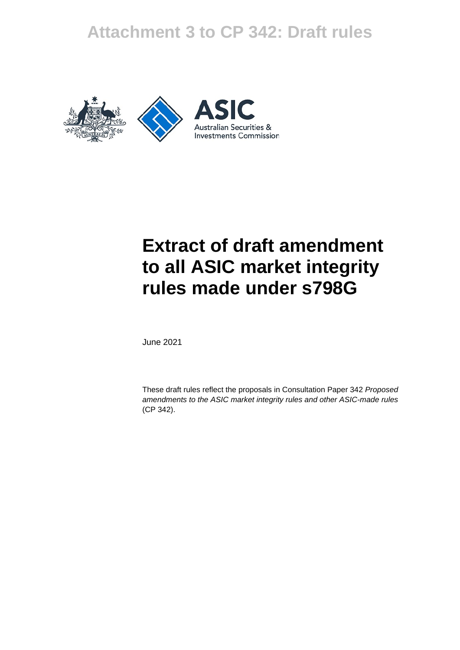## **Attachment 3 to CP 342: Draft rules**





# **Extract of draft amendment to all ASIC market integrity rules made under s798G**

June 2021

These draft rules reflect the proposals in Consultation Paper 342 *Proposed amendments to the ASIC market integrity rules and other ASIC-made rules*  (CP 342).